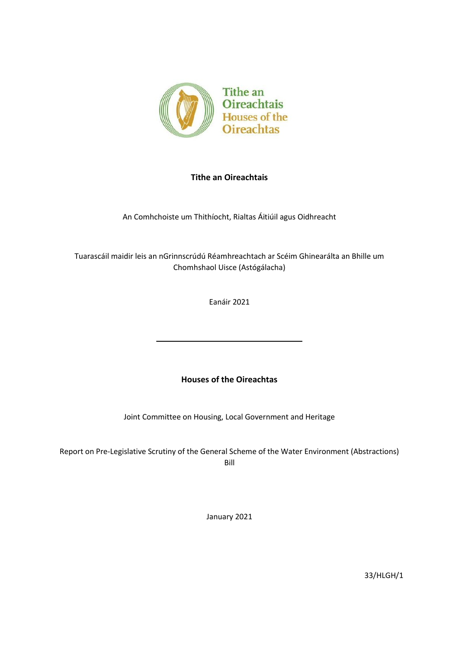

# **Tithe an Oireachtais**

An Comhchoiste um Thithíocht, Rialtas Áitiúil agus Oidhreacht

Tuarascáil maidir leis an nGrinnscrúdú Réamhreachtach ar Scéim Ghinearálta an Bhille um Chomhshaol Uisce (Astógálacha)

Eanáir 2021

# **Houses of the Oireachtas**

Joint Committee on Housing, Local Government and Heritage

Report on Pre-Legislative Scrutiny of the General Scheme of the Water Environment (Abstractions) Bill

January 2021

33/HLGH/1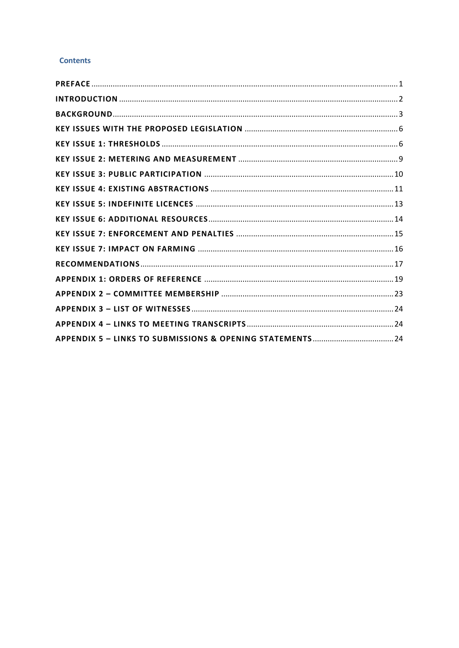# **Contents**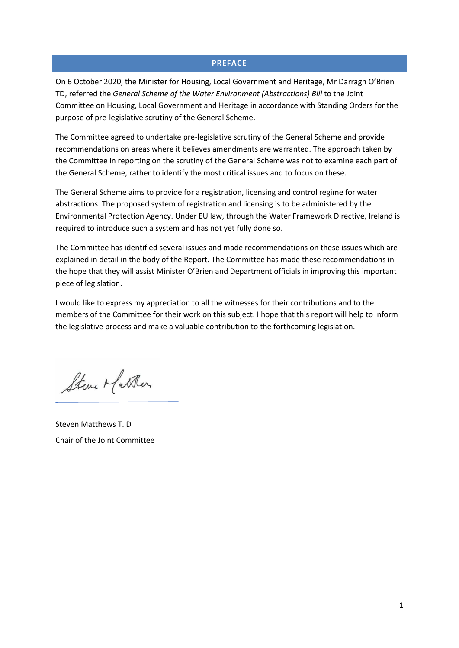# **PREFACE**

<span id="page-3-0"></span>On 6 October 2020, the Minister for Housing, Local Government and Heritage, Mr Darragh O'Brien TD, referred the *General Scheme of the Water Environment (Abstractions) Bill* to the Joint Committee on Housing, Local Government and Heritage in accordance with Standing Orders for the purpose of pre-legislative scrutiny of the General Scheme.

The Committee agreed to undertake pre-legislative scrutiny of the General Scheme and provide recommendations on areas where it believes amendments are warranted. The approach taken by the Committee in reporting on the scrutiny of the General Scheme was not to examine each part of the General Scheme, rather to identify the most critical issues and to focus on these.

The General Scheme aims to provide for a registration, licensing and control regime for water abstractions. The proposed system of registration and licensing is to be administered by the Environmental Protection Agency. Under EU law, through the Water Framework Directive, Ireland is required to introduce such a system and has not yet fully done so.

The Committee has identified several issues and made recommendations on these issues which are explained in detail in the body of the Report. The Committee has made these recommendations in the hope that they will assist Minister O'Brien and Department officials in improving this important piece of legislation.

I would like to express my appreciation to all the witnesses for their contributions and to the members of the Committee for their work on this subject. I hope that this report will help to inform the legislative process and make a valuable contribution to the forthcoming legislation.

Steve Matter

Steven Matthews T. D Chair of the Joint Committee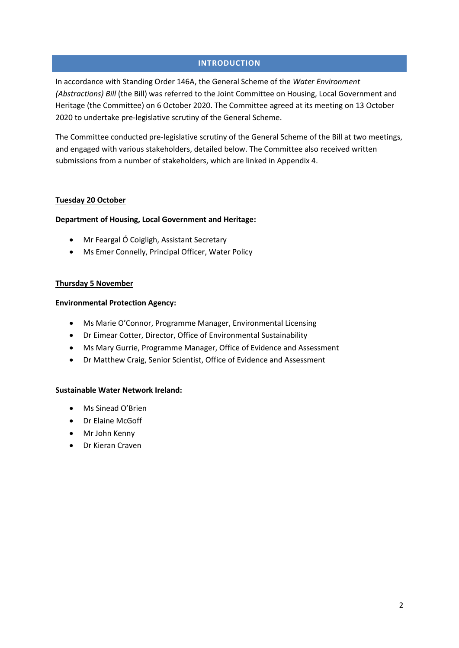# **INTRODUCTION**

<span id="page-4-0"></span>In accordance with Standing Order 146A, the General Scheme of the *Water Environment (Abstractions) Bill* (the Bill) was referred to the Joint Committee on Housing, Local Government and Heritage (the Committee) on 6 October 2020. The Committee agreed at its meeting on 13 October 2020 to undertake pre-legislative scrutiny of the General Scheme.

The Committee conducted pre-legislative scrutiny of the General Scheme of the Bill at two meetings, and engaged with various stakeholders, detailed below. The Committee also received written submissions from a number of stakeholders, which are linked in Appendix 4.

#### **Tuesday 20 October**

#### **Department of Housing, Local Government and Heritage:**

- Mr Feargal Ó Coigligh, Assistant Secretary
- Ms Emer Connelly, Principal Officer, Water Policy

#### **Thursday 5 November**

#### **Environmental Protection Agency:**

- Ms Marie O'Connor, Programme Manager, Environmental Licensing
- Dr Eimear Cotter, Director, Office of Environmental Sustainability
- Ms Mary Gurrie, Programme Manager, Office of Evidence and Assessment
- Dr Matthew Craig, Senior Scientist, Office of Evidence and Assessment

#### **Sustainable Water Network Ireland:**

- Ms Sinead O'Brien
- Dr Elaine McGoff
- Mr John Kenny
- Dr Kieran Craven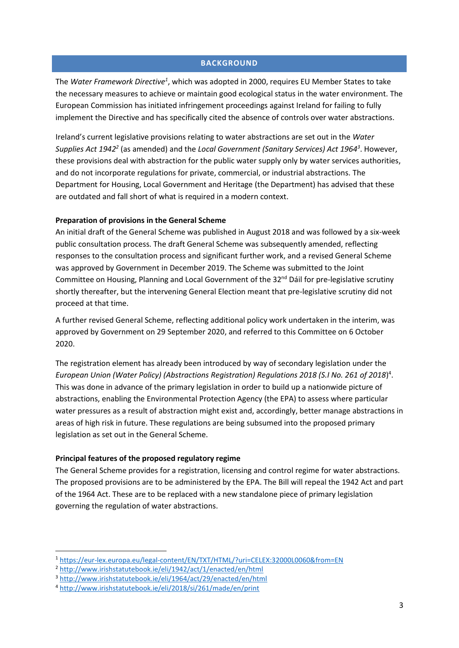### **BACKGROUND**

<span id="page-5-0"></span>The *Water Framework Directive<sup>1</sup>* , which was adopted in 2000, requires EU Member States to take the necessary measures to achieve or maintain good ecological status in the water environment. The European Commission has initiated infringement proceedings against Ireland for failing to fully implement the Directive and has specifically cited the absence of controls over water abstractions.

Ireland's current legislative provisions relating to water abstractions are set out in the *Water*  Supplies Act 1942<sup>2</sup> (as amended) and the *Local Government (Sanitary Services) Act 1964<sup>3</sup>. However,* these provisions deal with abstraction for the public water supply only by water services authorities, and do not incorporate regulations for private, commercial, or industrial abstractions. The Department for Housing, Local Government and Heritage (the Department) has advised that these are outdated and fall short of what is required in a modern context.

# **Preparation of provisions in the General Scheme**

An initial draft of the General Scheme was published in August 2018 and was followed by a six-week public consultation process. The draft General Scheme was subsequently amended, reflecting responses to the consultation process and significant further work, and a revised General Scheme was approved by Government in December 2019. The Scheme was submitted to the Joint Committee on Housing, Planning and Local Government of the  $32<sup>nd</sup>$  Dáil for pre-legislative scrutiny shortly thereafter, but the intervening General Election meant that pre-legislative scrutiny did not proceed at that time.

A further revised General Scheme, reflecting additional policy work undertaken in the interim, was approved by Government on 29 September 2020, and referred to this Committee on 6 October 2020.

The registration element has already been introduced by way of secondary legislation under the *European Union (Water Policy) (Abstractions Registration) Regulations 2018 (S.I No. 261 of 2018*) 4 . This was done in advance of the primary legislation in order to build up a nationwide picture of abstractions, enabling the Environmental Protection Agency (the EPA) to assess where particular water pressures as a result of abstraction might exist and, accordingly, better manage abstractions in areas of high risk in future. These regulations are being subsumed into the proposed primary legislation as set out in the General Scheme.

# **Principal features of the proposed regulatory regime**

The General Scheme provides for a registration, licensing and control regime for water abstractions. The proposed provisions are to be administered by the EPA. The Bill will repeal the 1942 Act and part of the 1964 Act. These are to be replaced with a new standalone piece of primary legislation governing the regulation of water abstractions.

<sup>1</sup> <https://eur-lex.europa.eu/legal-content/EN/TXT/HTML/?uri=CELEX:32000L0060&from=EN>

<sup>2</sup> <http://www.irishstatutebook.ie/eli/1942/act/1/enacted/en/html>

<sup>3</sup> <http://www.irishstatutebook.ie/eli/1964/act/29/enacted/en/html>

<sup>4</sup> <http://www.irishstatutebook.ie/eli/2018/si/261/made/en/print>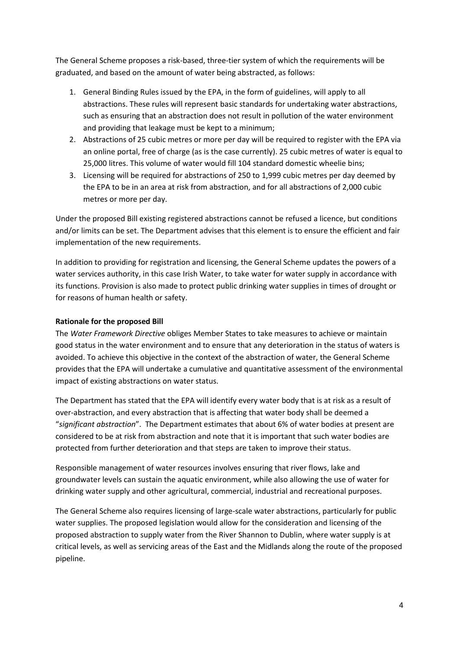The General Scheme proposes a risk-based, three-tier system of which the requirements will be graduated, and based on the amount of water being abstracted, as follows:

- 1. General Binding Rules issued by the EPA, in the form of guidelines, will apply to all abstractions. These rules will represent basic standards for undertaking water abstractions, such as ensuring that an abstraction does not result in pollution of the water environment and providing that leakage must be kept to a minimum;
- 2. Abstractions of 25 cubic metres or more per day will be required to register with the EPA via an online portal, free of charge (as is the case currently). 25 cubic metres of water is equal to 25,000 litres. This volume of water would fill 104 standard domestic wheelie bins;
- 3. Licensing will be required for abstractions of 250 to 1,999 cubic metres per day deemed by the EPA to be in an area at risk from abstraction, and for all abstractions of 2,000 cubic metres or more per day.

Under the proposed Bill existing registered abstractions cannot be refused a licence, but conditions and/or limits can be set. The Department advises that this element is to ensure the efficient and fair implementation of the new requirements.

In addition to providing for registration and licensing, the General Scheme updates the powers of a water services authority, in this case Irish Water, to take water for water supply in accordance with its functions. Provision is also made to protect public drinking water supplies in times of drought or for reasons of human health or safety.

# **Rationale for the proposed Bill**

The *Water Framework Directive* obliges Member States to take measures to achieve or maintain good status in the water environment and to ensure that any deterioration in the status of waters is avoided. To achieve this objective in the context of the abstraction of water, the General Scheme provides that the EPA will undertake a cumulative and quantitative assessment of the environmental impact of existing abstractions on water status.

The Department has stated that the EPA will identify every water body that is at risk as a result of over-abstraction, and every abstraction that is affecting that water body shall be deemed a "*significant abstraction*". The Department estimates that about 6% of water bodies at present are considered to be at risk from abstraction and note that it is important that such water bodies are protected from further deterioration and that steps are taken to improve their status.

Responsible management of water resources involves ensuring that river flows, lake and groundwater levels can sustain the aquatic environment, while also allowing the use of water for drinking water supply and other agricultural, commercial, industrial and recreational purposes.

The General Scheme also requires licensing of large-scale water abstractions, particularly for public water supplies. The proposed legislation would allow for the consideration and licensing of the proposed abstraction to supply water from the River Shannon to Dublin, where water supply is at critical levels, as well as servicing areas of the East and the Midlands along the route of the proposed pipeline.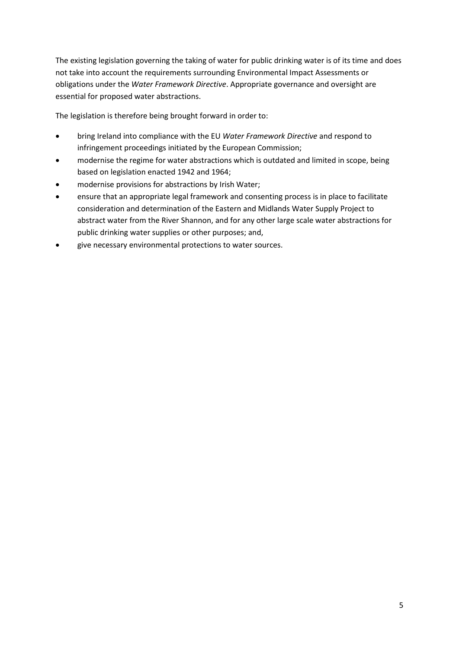The existing legislation governing the taking of water for public drinking water is of its time and does not take into account the requirements surrounding Environmental Impact Assessments or obligations under the *Water Framework Directive*. Appropriate governance and oversight are essential for proposed water abstractions.

The legislation is therefore being brought forward in order to:

- bring Ireland into compliance with the EU *Water Framework Directive* and respond to infringement proceedings initiated by the European Commission;
- modernise the regime for water abstractions which is outdated and limited in scope, being based on legislation enacted 1942 and 1964;
- modernise provisions for abstractions by Irish Water;
- ensure that an appropriate legal framework and consenting process is in place to facilitate consideration and determination of the Eastern and Midlands Water Supply Project to abstract water from the River Shannon, and for any other large scale water abstractions for public drinking water supplies or other purposes; and,
- give necessary environmental protections to water sources.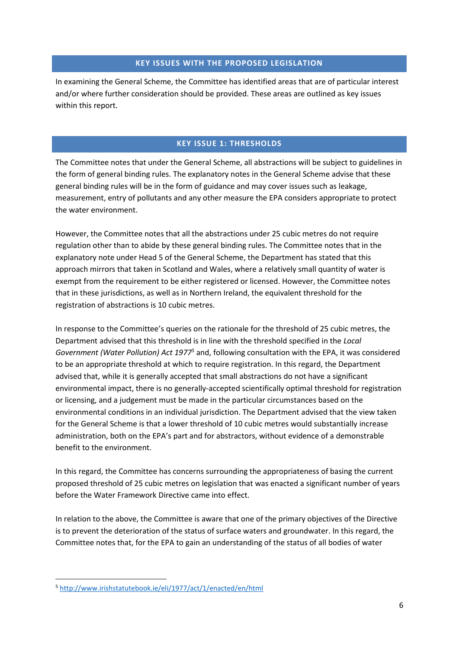# **KEY ISSUES WITH THE PROPOSED LEGISLATION**

<span id="page-8-0"></span>In examining the General Scheme, the Committee has identified areas that are of particular interest and/or where further consideration should be provided. These areas are outlined as key issues within this report.

# **KEY ISSUE 1: THRESHOLDS**

<span id="page-8-1"></span>The Committee notes that under the General Scheme, all abstractions will be subject to guidelines in the form of general binding rules. The explanatory notes in the General Scheme advise that these general binding rules will be in the form of guidance and may cover issues such as leakage, measurement, entry of pollutants and any other measure the EPA considers appropriate to protect the water environment.

However, the Committee notes that all the abstractions under 25 cubic metres do not require regulation other than to abide by these general binding rules. The Committee notes that in the explanatory note under Head 5 of the General Scheme, the Department has stated that this approach mirrors that taken in Scotland and Wales, where a relatively small quantity of water is exempt from the requirement to be either registered or licensed. However, the Committee notes that in these jurisdictions, as well as in Northern Ireland, the equivalent threshold for the registration of abstractions is 10 cubic metres.

In response to the Committee's queries on the rationale for the threshold of 25 cubic metres, the Department advised that this threshold is in line with the threshold specified in the *Local Government (Water Pollution) Act 1977<sup>5</sup>* and, following consultation with the EPA, it was considered to be an appropriate threshold at which to require registration. In this regard, the Department advised that, while it is generally accepted that small abstractions do not have a significant environmental impact, there is no generally-accepted scientifically optimal threshold for registration or licensing, and a judgement must be made in the particular circumstances based on the environmental conditions in an individual jurisdiction. The Department advised that the view taken for the General Scheme is that a lower threshold of 10 cubic metres would substantially increase administration, both on the EPA's part and for abstractors, without evidence of a demonstrable benefit to the environment.

In this regard, the Committee has concerns surrounding the appropriateness of basing the current proposed threshold of 25 cubic metres on legislation that was enacted a significant number of years before the Water Framework Directive came into effect.

In relation to the above, the Committee is aware that one of the primary objectives of the Directive is to prevent the deterioration of the status of surface waters and groundwater. In this regard, the Committee notes that, for the EPA to gain an understanding of the status of all bodies of water

<sup>5</sup> <http://www.irishstatutebook.ie/eli/1977/act/1/enacted/en/html>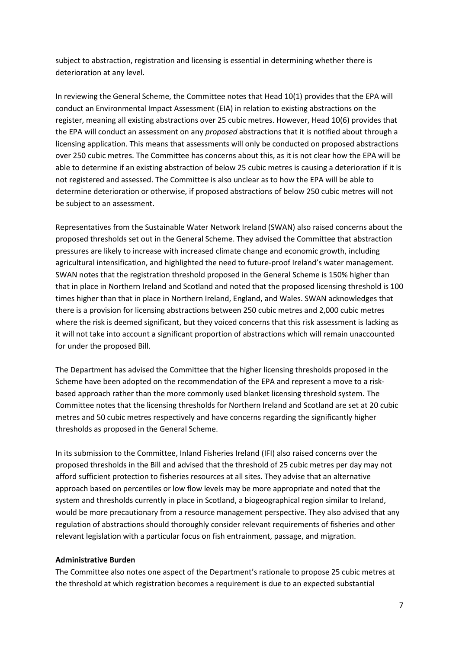subject to abstraction, registration and licensing is essential in determining whether there is deterioration at any level.

In reviewing the General Scheme, the Committee notes that Head 10(1) provides that the EPA will conduct an Environmental Impact Assessment (EIA) in relation to existing abstractions on the register, meaning all existing abstractions over 25 cubic metres. However, Head 10(6) provides that the EPA will conduct an assessment on any *proposed* abstractions that it is notified about through a licensing application. This means that assessments will only be conducted on proposed abstractions over 250 cubic metres. The Committee has concerns about this, as it is not clear how the EPA will be able to determine if an existing abstraction of below 25 cubic metres is causing a deterioration if it is not registered and assessed. The Committee is also unclear as to how the EPA will be able to determine deterioration or otherwise, if proposed abstractions of below 250 cubic metres will not be subject to an assessment.

Representatives from the Sustainable Water Network Ireland (SWAN) also raised concerns about the proposed thresholds set out in the General Scheme. They advised the Committee that abstraction pressures are likely to increase with increased climate change and economic growth, including agricultural intensification, and highlighted the need to future-proof Ireland's water management. SWAN notes that the registration threshold proposed in the General Scheme is 150% higher than that in place in Northern Ireland and Scotland and noted that the proposed licensing threshold is 100 times higher than that in place in Northern Ireland, England, and Wales. SWAN acknowledges that there is a provision for licensing abstractions between 250 cubic metres and 2,000 cubic metres where the risk is deemed significant, but they voiced concerns that this risk assessment is lacking as it will not take into account a significant proportion of abstractions which will remain unaccounted for under the proposed Bill.

The Department has advised the Committee that the higher licensing thresholds proposed in the Scheme have been adopted on the recommendation of the EPA and represent a move to a riskbased approach rather than the more commonly used blanket licensing threshold system. The Committee notes that the licensing thresholds for Northern Ireland and Scotland are set at 20 cubic metres and 50 cubic metres respectively and have concerns regarding the significantly higher thresholds as proposed in the General Scheme.

In its submission to the Committee, Inland Fisheries Ireland (IFI) also raised concerns over the proposed thresholds in the Bill and advised that the threshold of 25 cubic metres per day may not afford sufficient protection to fisheries resources at all sites. They advise that an alternative approach based on percentiles or low flow levels may be more appropriate and noted that the system and thresholds currently in place in Scotland, a biogeographical region similar to Ireland, would be more precautionary from a resource management perspective. They also advised that any regulation of abstractions should thoroughly consider relevant requirements of fisheries and other relevant legislation with a particular focus on fish entrainment, passage, and migration.

### **Administrative Burden**

The Committee also notes one aspect of the Department's rationale to propose 25 cubic metres at the threshold at which registration becomes a requirement is due to an expected substantial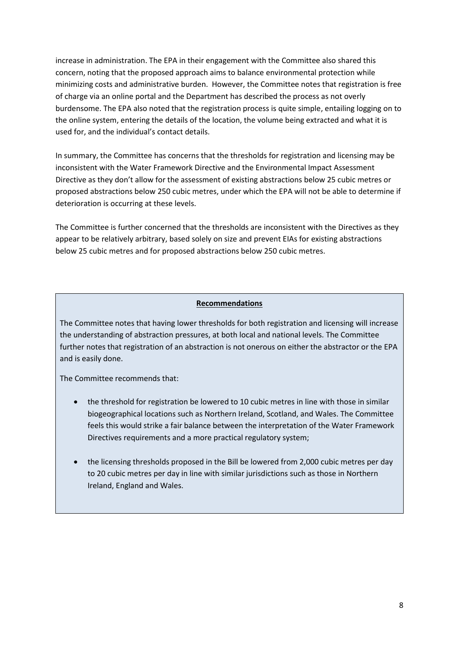increase in administration. The EPA in their engagement with the Committee also shared this concern, noting that the proposed approach aims to balance environmental protection while minimizing costs and administrative burden. However, the Committee notes that registration is free of charge via an online portal and the Department has described the process as not overly burdensome. The EPA also noted that the registration process is quite simple, entailing logging on to the online system, entering the details of the location, the volume being extracted and what it is used for, and the individual's contact details.

In summary, the Committee has concerns that the thresholds for registration and licensing may be inconsistent with the Water Framework Directive and the Environmental Impact Assessment Directive as they don't allow for the assessment of existing abstractions below 25 cubic metres or proposed abstractions below 250 cubic metres, under which the EPA will not be able to determine if deterioration is occurring at these levels.

The Committee is further concerned that the thresholds are inconsistent with the Directives as they appear to be relatively arbitrary, based solely on size and prevent EIAs for existing abstractions below 25 cubic metres and for proposed abstractions below 250 cubic metres.

#### **Recommendations**

The Committee notes that having lower thresholds for both registration and licensing will increase the understanding of abstraction pressures, at both local and national levels. The Committee further notes that registration of an abstraction is not onerous on either the abstractor or the EPA and is easily done.

The Committee recommends that:

- the threshold for registration be lowered to 10 cubic metres in line with those in similar biogeographical locations such as Northern Ireland, Scotland, and Wales. The Committee feels this would strike a fair balance between the interpretation of the Water Framework Directives requirements and a more practical regulatory system;
- the licensing thresholds proposed in the Bill be lowered from 2,000 cubic metres per day to 20 cubic metres per day in line with similar jurisdictions such as those in Northern Ireland, England and Wales.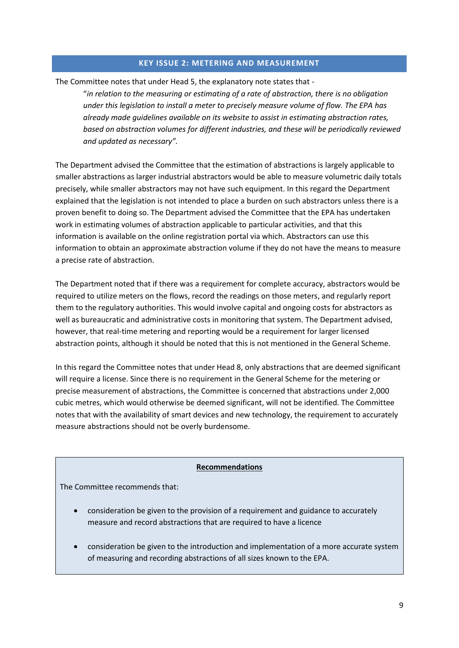# **KEY ISSUE 2: METERING AND MEASUREMENT**

<span id="page-11-0"></span>The Committee notes that under Head 5, the explanatory note states that -

"*in relation to the measuring or estimating of a rate of abstraction, there is no obligation under this legislation to install a meter to precisely measure volume of flow. The EPA has already made guidelines available on its website to assist in estimating abstraction rates, based on abstraction volumes for different industries, and these will be periodically reviewed and updated as necessary".*

The Department advised the Committee that the estimation of abstractions is largely applicable to smaller abstractions as larger industrial abstractors would be able to measure volumetric daily totals precisely, while smaller abstractors may not have such equipment. In this regard the Department explained that the legislation is not intended to place a burden on such abstractors unless there is a proven benefit to doing so. The Department advised the Committee that the EPA has undertaken work in estimating volumes of abstraction applicable to particular activities, and that this information is available on the online registration portal via which. Abstractors can use this information to obtain an approximate abstraction volume if they do not have the means to measure a precise rate of abstraction.

The Department noted that if there was a requirement for complete accuracy, abstractors would be required to utilize meters on the flows, record the readings on those meters, and regularly report them to the regulatory authorities. This would involve capital and ongoing costs for abstractors as well as bureaucratic and administrative costs in monitoring that system. The Department advised, however, that real-time metering and reporting would be a requirement for larger licensed abstraction points, although it should be noted that this is not mentioned in the General Scheme.

In this regard the Committee notes that under Head 8, only abstractions that are deemed significant will require a license. Since there is no requirement in the General Scheme for the metering or precise measurement of abstractions, the Committee is concerned that abstractions under 2,000 cubic metres, which would otherwise be deemed significant, will not be identified. The Committee notes that with the availability of smart devices and new technology, the requirement to accurately measure abstractions should not be overly burdensome.

#### **Recommendations**

The Committee recommends that:

- consideration be given to the provision of a requirement and guidance to accurately measure and record abstractions that are required to have a licence
- consideration be given to the introduction and implementation of a more accurate system of measuring and recording abstractions of all sizes known to the EPA.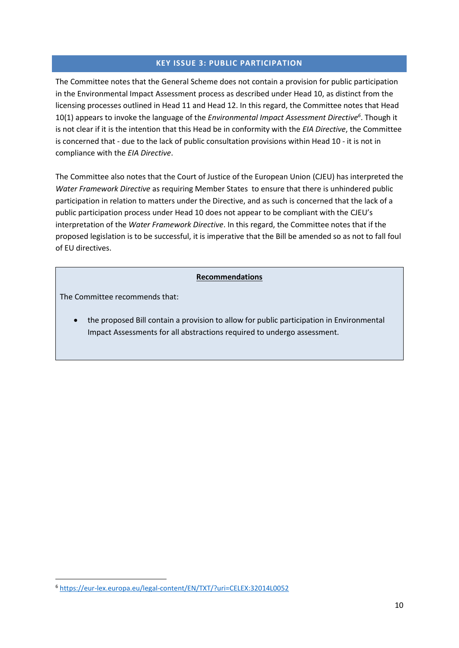# **KEY ISSUE 3: PUBLIC PARTICIPATION**

<span id="page-12-0"></span>The Committee notes that the General Scheme does not contain a provision for public participation in the Environmental Impact Assessment process as described under Head 10, as distinct from the licensing processes outlined in Head 11 and Head 12. In this regard, the Committee notes that Head 10(1) appears to invoke the language of the *Environmental Impact Assessment Directive<sup>6</sup>* . Though it is not clear if it is the intention that this Head be in conformity with the *EIA Directive*, the Committee is concerned that - due to the lack of public consultation provisions within Head 10 - it is not in compliance with the *EIA Directive*.

The Committee also notes that the Court of Justice of the European Union (CJEU) has interpreted the *Water Framework Directive* as requiring Member States to ensure that there is unhindered public participation in relation to matters under the Directive, and as such is concerned that the lack of a public participation process under Head 10 does not appear to be compliant with the CJEU's interpretation of the *Water Framework Directive*. In this regard, the Committee notes that if the proposed legislation is to be successful, it is imperative that the Bill be amended so as not to fall foul of EU directives.

# **Recommendations**

The Committee recommends that:

• the proposed Bill contain a provision to allow for public participation in Environmental Impact Assessments for all abstractions required to undergo assessment.

<sup>6</sup> <https://eur-lex.europa.eu/legal-content/EN/TXT/?uri=CELEX:32014L0052>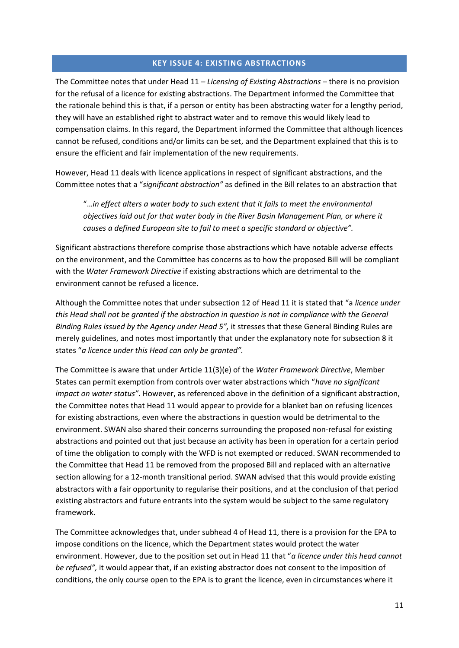# **KEY ISSUE 4: EXISTING ABSTRACTIONS**

<span id="page-13-0"></span>The Committee notes that under Head 11 – *Licensing of Existing Abstractions* – there is no provision for the refusal of a licence for existing abstractions. The Department informed the Committee that the rationale behind this is that, if a person or entity has been abstracting water for a lengthy period, they will have an established right to abstract water and to remove this would likely lead to compensation claims. In this regard, the Department informed the Committee that although licences cannot be refused, conditions and/or limits can be set, and the Department explained that this is to ensure the efficient and fair implementation of the new requirements.

However, Head 11 deals with licence applications in respect of significant abstractions, and the Committee notes that a "*significant abstraction"* as defined in the Bill relates to an abstraction that

"…*in effect alters a water body to such extent that it fails to meet the environmental objectives laid out for that water body in the River Basin Management Plan, or where it causes a defined European site to fail to meet a specific standard or objective".* 

Significant abstractions therefore comprise those abstractions which have notable adverse effects on the environment, and the Committee has concerns as to how the proposed Bill will be compliant with the *Water Framework Directive* if existing abstractions which are detrimental to the environment cannot be refused a licence.

Although the Committee notes that under subsection 12 of Head 11 it is stated that "a *licence under this Head shall not be granted if the abstraction in question is not in compliance with the General Binding Rules issued by the Agency under Head 5",* it stresses that these General Binding Rules are merely guidelines, and notes most importantly that under the explanatory note for subsection 8 it states "*a licence under this Head can only be granted".*

The Committee is aware that under Article 11(3)(e) of the *Water Framework Directive*, Member States can permit exemption from controls over water abstractions which "*have no significant impact on water status"*. However, as referenced above in the definition of a significant abstraction, the Committee notes that Head 11 would appear to provide for a blanket ban on refusing licences for existing abstractions, even where the abstractions in question would be detrimental to the environment. SWAN also shared their concerns surrounding the proposed non-refusal for existing abstractions and pointed out that just because an activity has been in operation for a certain period of time the obligation to comply with the WFD is not exempted or reduced. SWAN recommended to the Committee that Head 11 be removed from the proposed Bill and replaced with an alternative section allowing for a 12-month transitional period. SWAN advised that this would provide existing abstractors with a fair opportunity to regularise their positions, and at the conclusion of that period existing abstractors and future entrants into the system would be subject to the same regulatory framework.

The Committee acknowledges that, under subhead 4 of Head 11, there is a provision for the EPA to impose conditions on the licence, which the Department states would protect the water environment. However, due to the position set out in Head 11 that "*a licence under this head cannot be refused",* it would appear that, if an existing abstractor does not consent to the imposition of conditions, the only course open to the EPA is to grant the licence, even in circumstances where it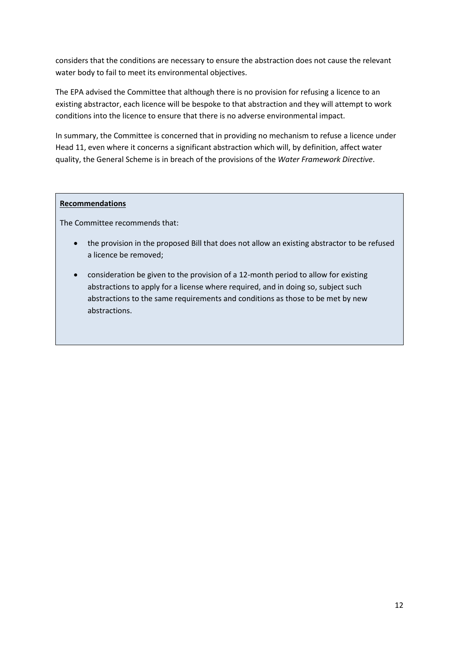considers that the conditions are necessary to ensure the abstraction does not cause the relevant water body to fail to meet its environmental objectives.

The EPA advised the Committee that although there is no provision for refusing a licence to an existing abstractor, each licence will be bespoke to that abstraction and they will attempt to work conditions into the licence to ensure that there is no adverse environmental impact.

In summary, the Committee is concerned that in providing no mechanism to refuse a licence under Head 11, even where it concerns a significant abstraction which will, by definition, affect water quality, the General Scheme is in breach of the provisions of the *Water Framework Directive*.

# **Recommendations**

The Committee recommends that:

- the provision in the proposed Bill that does not allow an existing abstractor to be refused a licence be removed;
- consideration be given to the provision of a 12-month period to allow for existing abstractions to apply for a license where required, and in doing so, subject such abstractions to the same requirements and conditions as those to be met by new abstractions.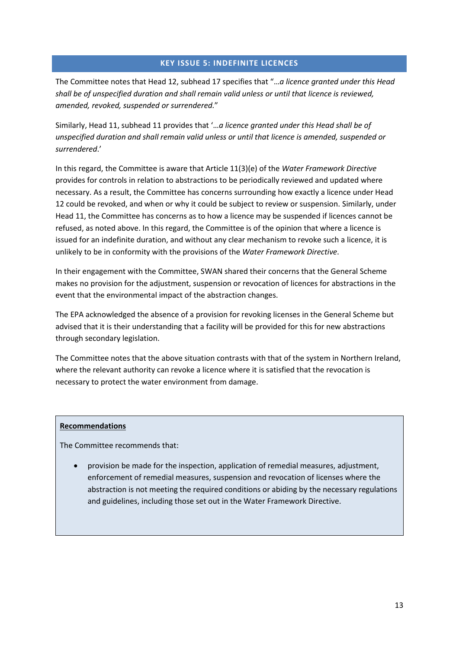# **KEY ISSUE 5: INDEFINITE LICENCES**

<span id="page-15-0"></span>The Committee notes that Head 12, subhead 17 specifies that "…*a licence granted under this Head shall be of unspecified duration and shall remain valid unless or until that licence is reviewed, amended, revoked, suspended or surrendered.*"

Similarly, Head 11, subhead 11 provides that '…*a licence granted under this Head shall be of unspecified duration and shall remain valid unless or until that licence is amended, suspended or surrendered*.'

In this regard, the Committee is aware that Article 11(3)(e) of the *Water Framework Directive* provides for controls in relation to abstractions to be periodically reviewed and updated where necessary. As a result, the Committee has concerns surrounding how exactly a licence under Head 12 could be revoked, and when or why it could be subject to review or suspension. Similarly, under Head 11, the Committee has concerns as to how a licence may be suspended if licences cannot be refused, as noted above. In this regard, the Committee is of the opinion that where a licence is issued for an indefinite duration, and without any clear mechanism to revoke such a licence, it is unlikely to be in conformity with the provisions of the *Water Framework Directive*.

In their engagement with the Committee, SWAN shared their concerns that the General Scheme makes no provision for the adjustment, suspension or revocation of licences for abstractions in the event that the environmental impact of the abstraction changes.

The EPA acknowledged the absence of a provision for revoking licenses in the General Scheme but advised that it is their understanding that a facility will be provided for this for new abstractions through secondary legislation.

The Committee notes that the above situation contrasts with that of the system in Northern Ireland, where the relevant authority can revoke a licence where it is satisfied that the revocation is necessary to protect the water environment from damage.

#### **Recommendations**

The Committee recommends that:

• provision be made for the inspection, application of remedial measures, adjustment, enforcement of remedial measures, suspension and revocation of licenses where the abstraction is not meeting the required conditions or abiding by the necessary regulations and guidelines, including those set out in the Water Framework Directive.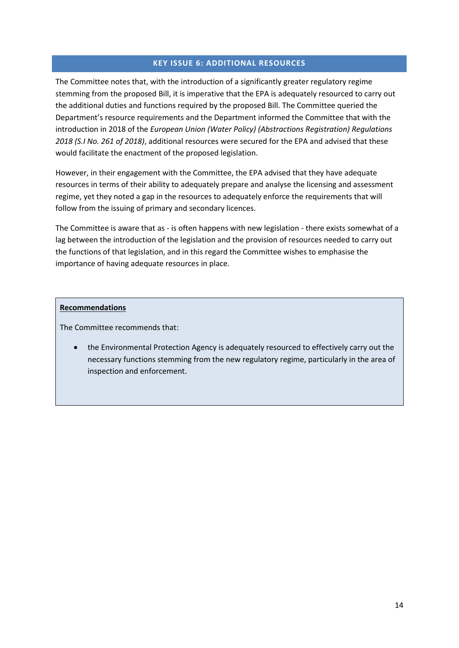# **KEY ISSUE 6: ADDITIONAL RESOURCES**

<span id="page-16-0"></span>The Committee notes that, with the introduction of a significantly greater regulatory regime stemming from the proposed Bill, it is imperative that the EPA is adequately resourced to carry out the additional duties and functions required by the proposed Bill. The Committee queried the Department's resource requirements and the Department informed the Committee that with the introduction in 2018 of the *European Union (Water Policy) (Abstractions Registration) Regulations 2018 (S.I No. 261 of 2018)*, additional resources were secured for the EPA and advised that these would facilitate the enactment of the proposed legislation.

However, in their engagement with the Committee, the EPA advised that they have adequate resources in terms of their ability to adequately prepare and analyse the licensing and assessment regime, yet they noted a gap in the resources to adequately enforce the requirements that will follow from the issuing of primary and secondary licences.

The Committee is aware that as - is often happens with new legislation - there exists somewhat of a lag between the introduction of the legislation and the provision of resources needed to carry out the functions of that legislation, and in this regard the Committee wishes to emphasise the importance of having adequate resources in place.

#### **Recommendations**

The Committee recommends that:

• the Environmental Protection Agency is adequately resourced to effectively carry out the necessary functions stemming from the new regulatory regime, particularly in the area of inspection and enforcement.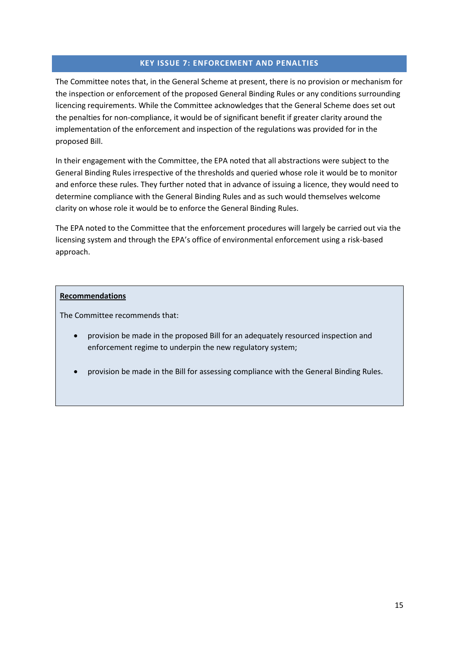# **KEY ISSUE 7: ENFORCEMENT AND PENALTIES**

<span id="page-17-0"></span>The Committee notes that, in the General Scheme at present, there is no provision or mechanism for the inspection or enforcement of the proposed General Binding Rules or any conditions surrounding licencing requirements. While the Committee acknowledges that the General Scheme does set out the penalties for non-compliance, it would be of significant benefit if greater clarity around the implementation of the enforcement and inspection of the regulations was provided for in the proposed Bill.

In their engagement with the Committee, the EPA noted that all abstractions were subject to the General Binding Rules irrespective of the thresholds and queried whose role it would be to monitor and enforce these rules. They further noted that in advance of issuing a licence, they would need to determine compliance with the General Binding Rules and as such would themselves welcome clarity on whose role it would be to enforce the General Binding Rules.

The EPA noted to the Committee that the enforcement procedures will largely be carried out via the licensing system and through the EPA's office of environmental enforcement using a risk-based approach.

# **Recommendations**

The Committee recommends that:

- provision be made in the proposed Bill for an adequately resourced inspection and enforcement regime to underpin the new regulatory system;
- provision be made in the Bill for assessing compliance with the General Binding Rules.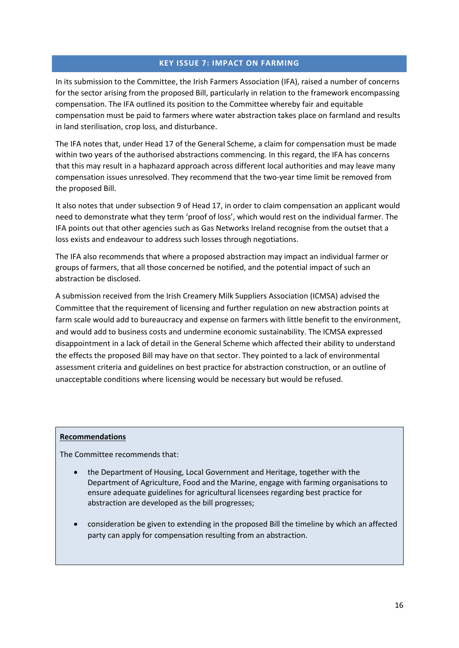# **KEY ISSUE 7: IMPACT ON FARMING**

<span id="page-18-0"></span>In its submission to the Committee, the Irish Farmers Association (IFA), raised a number of concerns for the sector arising from the proposed Bill, particularly in relation to the framework encompassing compensation. The IFA outlined its position to the Committee whereby fair and equitable compensation must be paid to farmers where water abstraction takes place on farmland and results in land sterilisation, crop loss, and disturbance.

The IFA notes that, under Head 17 of the General Scheme, a claim for compensation must be made within two years of the authorised abstractions commencing. In this regard, the IFA has concerns that this may result in a haphazard approach across different local authorities and may leave many compensation issues unresolved. They recommend that the two-year time limit be removed from the proposed Bill.

It also notes that under subsection 9 of Head 17, in order to claim compensation an applicant would need to demonstrate what they term 'proof of loss', which would rest on the individual farmer. The IFA points out that other agencies such as Gas Networks Ireland recognise from the outset that a loss exists and endeavour to address such losses through negotiations.

The IFA also recommends that where a proposed abstraction may impact an individual farmer or groups of farmers, that all those concerned be notified, and the potential impact of such an abstraction be disclosed.

A submission received from the Irish Creamery Milk Suppliers Association (ICMSA) advised the Committee that the requirement of licensing and further regulation on new abstraction points at farm scale would add to bureaucracy and expense on farmers with little benefit to the environment, and would add to business costs and undermine economic sustainability. The ICMSA expressed disappointment in a lack of detail in the General Scheme which affected their ability to understand the effects the proposed Bill may have on that sector. They pointed to a lack of environmental assessment criteria and guidelines on best practice for abstraction construction, or an outline of unacceptable conditions where licensing would be necessary but would be refused.

#### **Recommendations**

The Committee recommends that:

- the Department of Housing, Local Government and Heritage, together with the Department of Agriculture, Food and the Marine, engage with farming organisations to ensure adequate guidelines for agricultural licensees regarding best practice for abstraction are developed as the bill progresses;
- consideration be given to extending in the proposed Bill the timeline by which an affected party can apply for compensation resulting from an abstraction.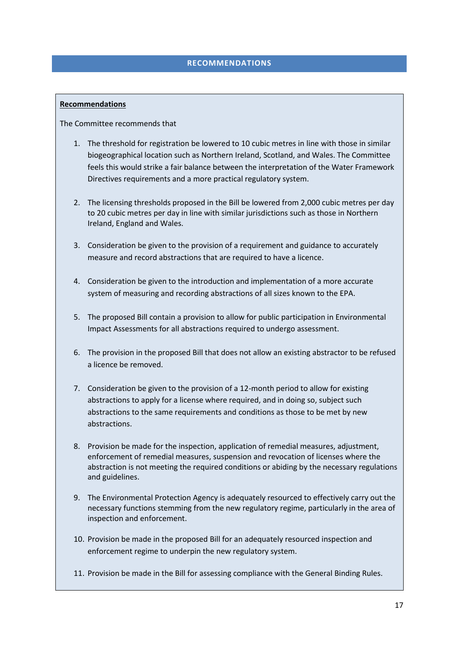### **RECOMMENDATIONS**

### <span id="page-19-0"></span>**Recommendations**

The Committee recommends that

- 1. The threshold for registration be lowered to 10 cubic metres in line with those in similar biogeographical location such as Northern Ireland, Scotland, and Wales. The Committee feels this would strike a fair balance between the interpretation of the Water Framework Directives requirements and a more practical regulatory system.
- 2. The licensing thresholds proposed in the Bill be lowered from 2,000 cubic metres per day to 20 cubic metres per day in line with similar jurisdictions such as those in Northern Ireland, England and Wales.
- 3. Consideration be given to the provision of a requirement and guidance to accurately measure and record abstractions that are required to have a licence.
- 4. Consideration be given to the introduction and implementation of a more accurate system of measuring and recording abstractions of all sizes known to the EPA.
- 5. The proposed Bill contain a provision to allow for public participation in Environmental Impact Assessments for all abstractions required to undergo assessment.
- 6. The provision in the proposed Bill that does not allow an existing abstractor to be refused a licence be removed.
- 7. Consideration be given to the provision of a 12-month period to allow for existing abstractions to apply for a license where required, and in doing so, subject such abstractions to the same requirements and conditions as those to be met by new abstractions.
- 8. Provision be made for the inspection, application of remedial measures, adjustment, enforcement of remedial measures, suspension and revocation of licenses where the abstraction is not meeting the required conditions or abiding by the necessary regulations and guidelines.
- 9. The Environmental Protection Agency is adequately resourced to effectively carry out the necessary functions stemming from the new regulatory regime, particularly in the area of inspection and enforcement.
- 10. Provision be made in the proposed Bill for an adequately resourced inspection and enforcement regime to underpin the new regulatory system.
- 11. Provision be made in the Bill for assessing compliance with the General Binding Rules.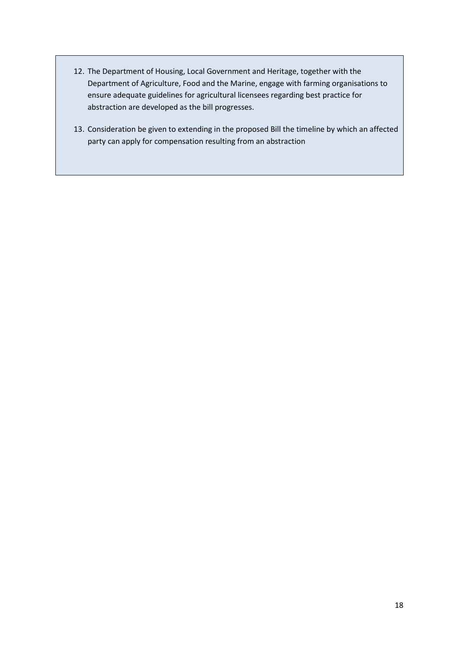- 12. The Department of Housing, Local Government and Heritage, together with the Department of Agriculture, Food and the Marine, engage with farming organisations to ensure adequate guidelines for agricultural licensees regarding best practice for abstraction are developed as the bill progresses.
- 13. Consideration be given to extending in the proposed Bill the timeline by which an affected party can apply for compensation resulting from an abstraction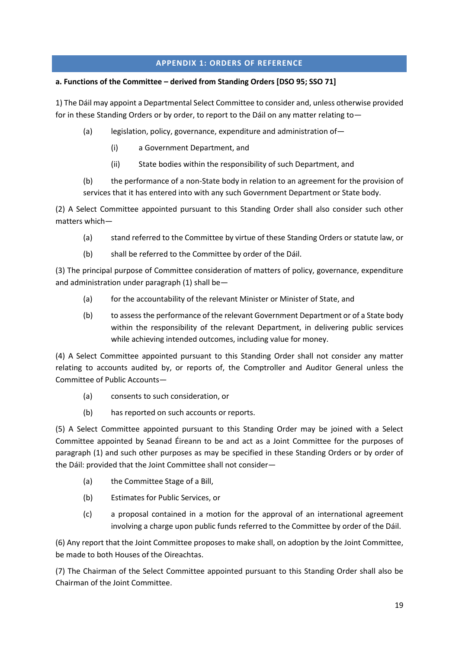# **APPENDIX 1: ORDERS OF REFERENCE**

# <span id="page-21-0"></span>**a. Functions of the Committee – derived from Standing Orders [DSO 95; SSO 71]**

1) The Dáil may appoint a Departmental Select Committee to consider and, unless otherwise provided for in these Standing Orders or by order, to report to the Dáil on any matter relating to-

- (a) legislation, policy, governance, expenditure and administration of―
	- (i) a Government Department, and
	- (ii) State bodies within the responsibility of such Department, and

(b) the performance of a non-State body in relation to an agreement for the provision of services that it has entered into with any such Government Department or State body.

(2) A Select Committee appointed pursuant to this Standing Order shall also consider such other matters which―

- (a) stand referred to the Committee by virtue of these Standing Orders or statute law, or
- (b) shall be referred to the Committee by order of the Dáil.

(3) The principal purpose of Committee consideration of matters of policy, governance, expenditure and administration under paragraph (1) shall be―

- (a) for the accountability of the relevant Minister or Minister of State, and
- (b) to assess the performance of the relevant Government Department or of a State body within the responsibility of the relevant Department, in delivering public services while achieving intended outcomes, including value for money.

(4) A Select Committee appointed pursuant to this Standing Order shall not consider any matter relating to accounts audited by, or reports of, the Comptroller and Auditor General unless the Committee of Public Accounts―

- (a) consents to such consideration, or
- (b) has reported on such accounts or reports.

(5) A Select Committee appointed pursuant to this Standing Order may be joined with a Select Committee appointed by Seanad Éireann to be and act as a Joint Committee for the purposes of paragraph (1) and such other purposes as may be specified in these Standing Orders or by order of the Dáil: provided that the Joint Committee shall not consider―

- (a) the Committee Stage of a Bill,
- (b) Estimates for Public Services, or
- (c) a proposal contained in a motion for the approval of an international agreement involving a charge upon public funds referred to the Committee by order of the Dáil.

(6) Any report that the Joint Committee proposes to make shall, on adoption by the Joint Committee, be made to both Houses of the Oireachtas.

(7) The Chairman of the Select Committee appointed pursuant to this Standing Order shall also be Chairman of the Joint Committee.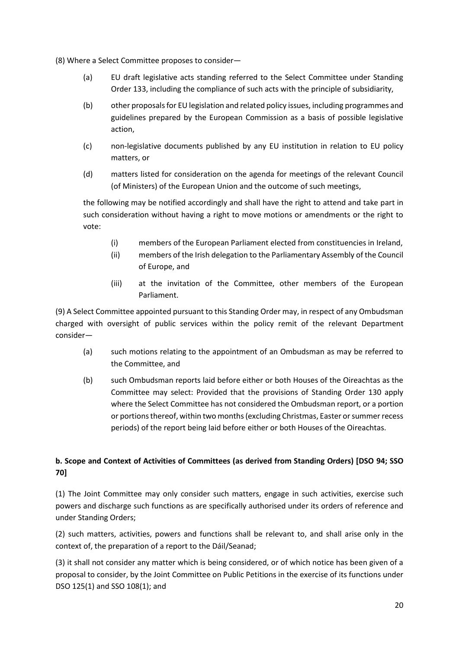(8) Where a Select Committee proposes to consider―

- (a) EU draft legislative acts standing referred to the Select Committee under Standing Order 133, including the compliance of such acts with the principle of subsidiarity,
- (b) other proposals for EU legislation and related policy issues, including programmes and guidelines prepared by the European Commission as a basis of possible legislative action,
- (c) non-legislative documents published by any EU institution in relation to EU policy matters, or
- (d) matters listed for consideration on the agenda for meetings of the relevant Council (of Ministers) of the European Union and the outcome of such meetings,

the following may be notified accordingly and shall have the right to attend and take part in such consideration without having a right to move motions or amendments or the right to vote:

- (i) members of the European Parliament elected from constituencies in Ireland,
- (ii) members of the Irish delegation to the Parliamentary Assembly of the Council of Europe, and
- (iii) at the invitation of the Committee, other members of the European Parliament.

(9) A Select Committee appointed pursuant to this Standing Order may, in respect of any Ombudsman charged with oversight of public services within the policy remit of the relevant Department consider—

- (a) such motions relating to the appointment of an Ombudsman as may be referred to the Committee, and
- (b) such Ombudsman reports laid before either or both Houses of the Oireachtas as the Committee may select: Provided that the provisions of Standing Order 130 apply where the Select Committee has not considered the Ombudsman report, or a portion or portions thereof, within two months (excluding Christmas, Easter or summer recess periods) of the report being laid before either or both Houses of the Oireachtas.

# **b. Scope and Context of Activities of Committees (as derived from Standing Orders) [DSO 94; SSO 70]**

(1) The Joint Committee may only consider such matters, engage in such activities, exercise such powers and discharge such functions as are specifically authorised under its orders of reference and under Standing Orders;

(2) such matters, activities, powers and functions shall be relevant to, and shall arise only in the context of, the preparation of a report to the Dáil/Seanad;

(3) it shall not consider any matter which is being considered, or of which notice has been given of a proposal to consider, by the Joint Committee on Public Petitions in the exercise of its functions under DSO 125(1) and SSO 108(1); and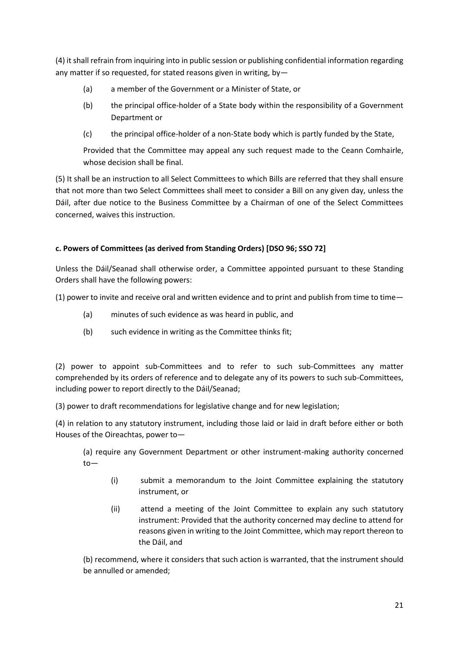(4) it shall refrain from inquiring into in public session or publishing confidential information regarding any matter if so requested, for stated reasons given in writing, by—

- (a) a member of the Government or a Minister of State, or
- (b) the principal office-holder of a State body within the responsibility of a Government Department or
- (c) the principal office-holder of a non-State body which is partly funded by the State,

Provided that the Committee may appeal any such request made to the Ceann Comhairle, whose decision shall be final.

(5) It shall be an instruction to all Select Committees to which Bills are referred that they shall ensure that not more than two Select Committees shall meet to consider a Bill on any given day, unless the Dáil, after due notice to the Business Committee by a Chairman of one of the Select Committees concerned, waives this instruction.

# **c. Powers of Committees (as derived from Standing Orders) [DSO 96; SSO 72]**

Unless the Dáil/Seanad shall otherwise order, a Committee appointed pursuant to these Standing Orders shall have the following powers:

(1) power to invite and receive oral and written evidence and to print and publish from time to time―

- (a) minutes of such evidence as was heard in public, and
- (b) such evidence in writing as the Committee thinks fit;

(2) power to appoint sub-Committees and to refer to such sub-Committees any matter comprehended by its orders of reference and to delegate any of its powers to such sub-Committees, including power to report directly to the Dáil/Seanad;

(3) power to draft recommendations for legislative change and for new legislation;

(4) in relation to any statutory instrument, including those laid or laid in draft before either or both Houses of the Oireachtas, power to―

(a) require any Government Department or other instrument-making authority concerned to―

- (i) submit a memorandum to the Joint Committee explaining the statutory instrument, or
- (ii) attend a meeting of the Joint Committee to explain any such statutory instrument: Provided that the authority concerned may decline to attend for reasons given in writing to the Joint Committee, which may report thereon to the Dáil, and

(b) recommend, where it considers that such action is warranted, that the instrument should be annulled or amended;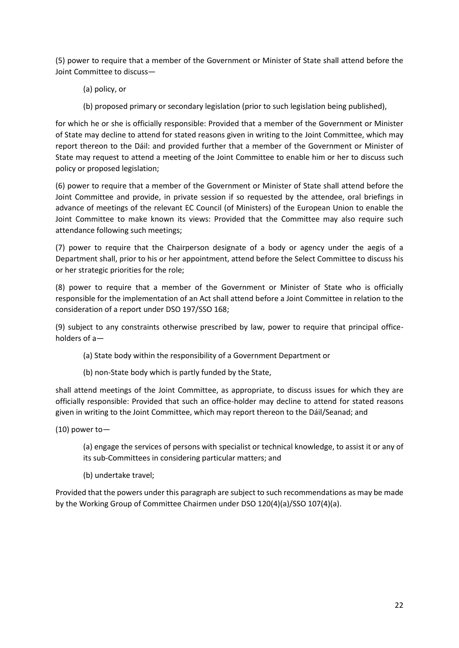(5) power to require that a member of the Government or Minister of State shall attend before the Joint Committee to discuss―

- (a) policy, or
- (b) proposed primary or secondary legislation (prior to such legislation being published),

for which he or she is officially responsible: Provided that a member of the Government or Minister of State may decline to attend for stated reasons given in writing to the Joint Committee, which may report thereon to the Dáil: and provided further that a member of the Government or Minister of State may request to attend a meeting of the Joint Committee to enable him or her to discuss such policy or proposed legislation;

(6) power to require that a member of the Government or Minister of State shall attend before the Joint Committee and provide, in private session if so requested by the attendee, oral briefings in advance of meetings of the relevant EC Council (of Ministers) of the European Union to enable the Joint Committee to make known its views: Provided that the Committee may also require such attendance following such meetings;

(7) power to require that the Chairperson designate of a body or agency under the aegis of a Department shall, prior to his or her appointment, attend before the Select Committee to discuss his or her strategic priorities for the role;

(8) power to require that a member of the Government or Minister of State who is officially responsible for the implementation of an Act shall attend before a Joint Committee in relation to the consideration of a report under DSO 197/SSO 168;

(9) subject to any constraints otherwise prescribed by law, power to require that principal officeholders of a―

- (a) State body within the responsibility of a Government Department or
- (b) non-State body which is partly funded by the State,

shall attend meetings of the Joint Committee, as appropriate, to discuss issues for which they are officially responsible: Provided that such an office-holder may decline to attend for stated reasons given in writing to the Joint Committee, which may report thereon to the Dáil/Seanad; and

(10) power to―

(a) engage the services of persons with specialist or technical knowledge, to assist it or any of its sub-Committees in considering particular matters; and

(b) undertake travel;

Provided that the powers under this paragraph are subject to such recommendations as may be made by the Working Group of Committee Chairmen under DSO 120(4)(a)/SSO 107(4)(a).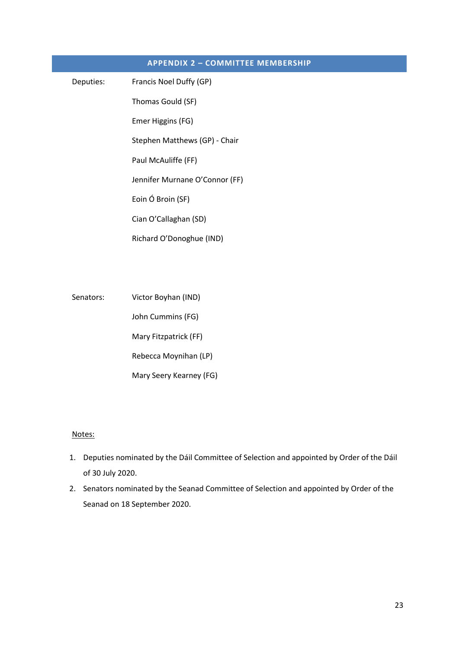<span id="page-25-0"></span>

| <b>APPENDIX 2 - COMMITTEE MEMBERSHIP</b> |                                |
|------------------------------------------|--------------------------------|
| Deputies:                                | Francis Noel Duffy (GP)        |
|                                          | Thomas Gould (SF)              |
|                                          | Emer Higgins (FG)              |
|                                          | Stephen Matthews (GP) - Chair  |
|                                          | Paul McAuliffe (FF)            |
|                                          | Jennifer Murnane O'Connor (FF) |
|                                          | Eoin Ó Broin (SF)              |
|                                          | Cian O'Callaghan (SD)          |
|                                          | Richard O'Donoghue (IND)       |
|                                          |                                |
|                                          |                                |
|                                          |                                |

Senators: Victor Boyhan (IND) John Cummins (FG) Mary Fitzpatrick (FF) Rebecca Moynihan (LP) Mary Seery Kearney (FG)

# Notes:

- 1. Deputies nominated by the Dáil Committee of Selection and appointed by Order of the Dáil of 30 July 2020.
- 2. Senators nominated by the Seanad Committee of Selection and appointed by Order of the Seanad on 18 September 2020.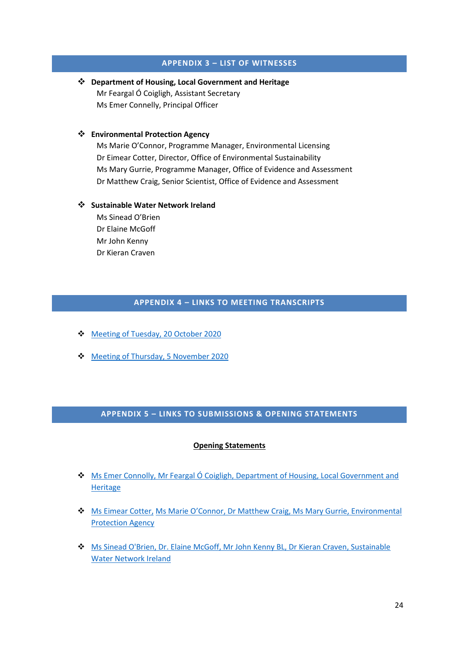### **APPENDIX 3 – LIST OF WITNESSES**

<span id="page-26-0"></span>❖ **Department of Housing, Local Government and Heritage** Mr Feargal Ó Coigligh, Assistant Secretary Ms Emer Connelly, Principal Officer

#### ❖ **Environmental Protection Agency**

Ms Marie O'Connor, Programme Manager, Environmental Licensing Dr Eimear Cotter, Director, Office of Environmental Sustainability Ms Mary Gurrie, Programme Manager, Office of Evidence and Assessment Dr Matthew Craig, Senior Scientist, Office of Evidence and Assessment

#### ❖ **Sustainable Water Network Ireland**

Ms Sinead O'Brien Dr Elaine McGoff Mr John Kenny Dr Kieran Craven

# **APPENDIX 4 – LINKS TO MEETING TRANSCRIPTS**

- <span id="page-26-1"></span>❖ [Meeting of Tuesday, 20 October 2020](https://www.oireachtas.ie/en/debates/debate/joint_committee_on_housing_local_government_and_heritage/2020-10-20/2/)
- ❖ [Meeting of Thursday, 5 November 2020](https://www.oireachtas.ie/en/debates/debate/joint_committee_on_housing_local_government_and_heritage/2020-11-05/2/)

# <span id="page-26-2"></span>**APPENDIX 5 – LINKS TO SUBMISSIONS & OPENING STATEMENTS**

#### **Opening Statements**

- ❖ Ms Emer Connolly, Mr Feargal Ó Coigligh, [Department of Housing, Local Government and](https://data.oireachtas.ie/ie/oireachtas/committee/dail/33/joint_committee_on_housing_local_government_and_heritage/submissions/2020/2020-10-20_opening-statement-emer-connolly-principal-officer-water-policy-department-of-housing-local-government-and-heritage_en.pdf)  **[Heritage](https://data.oireachtas.ie/ie/oireachtas/committee/dail/33/joint_committee_on_housing_local_government_and_heritage/submissions/2020/2020-10-20_opening-statement-emer-connolly-principal-officer-water-policy-department-of-housing-local-government-and-heritage_en.pdf)**
- ❖ Ms Eimear Cotter, Ms Marie O'Connor[, Dr Matthew Craig, Ms Mary Gurrie,](https://data.oireachtas.ie/ie/oireachtas/committee/dail/33/joint_committee_on_housing_local_government_and_heritage/submissions/2020/2020-11-05_opening-statement-dr-eimear-cotter-director-of-the-office-of-environmental-sustainability-environmental-protection-agency-epa_en.pdf) Environmental [Protection Agency](https://data.oireachtas.ie/ie/oireachtas/committee/dail/33/joint_committee_on_housing_local_government_and_heritage/submissions/2020/2020-11-05_opening-statement-dr-eimear-cotter-director-of-the-office-of-environmental-sustainability-environmental-protection-agency-epa_en.pdf)
- ❖ [Ms Sinead O'Brien, Dr. Elaine McGoff, Mr John Kenny BL, Dr Kieran Craven, Sustainable](https://data.oireachtas.ie/ie/oireachtas/committee/dail/33/joint_committee_on_housing_local_government_and_heritage/submissions/2020/2020-11-05_opening-statement-sinead-o-brien-et-al-co-ordinator-sustainable-water-network-ireland-swan_en.pdf)  [Water Network Ireland](https://data.oireachtas.ie/ie/oireachtas/committee/dail/33/joint_committee_on_housing_local_government_and_heritage/submissions/2020/2020-11-05_opening-statement-sinead-o-brien-et-al-co-ordinator-sustainable-water-network-ireland-swan_en.pdf)